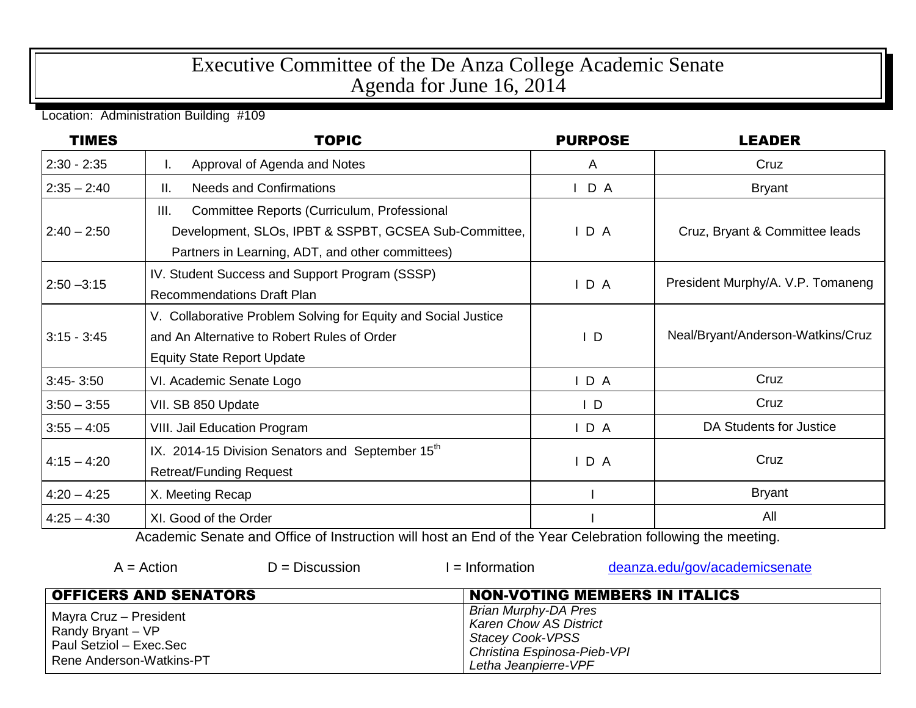## Executive Committee of the De Anza College Academic Senate Agenda for June 16, 2014

Location: Administration Building #109

| <b>TIMES</b>  | <b>TOPIC</b>                                                   | <b>PURPOSE</b> | <b>LEADER</b>                     |
|---------------|----------------------------------------------------------------|----------------|-----------------------------------|
| $2:30 - 2:35$ | Approval of Agenda and Notes<br>L.                             | A              | Cruz                              |
| $2:35 - 2:40$ | ΙΙ.<br><b>Needs and Confirmations</b>                          | D A            | <b>Bryant</b>                     |
|               | III.<br>Committee Reports (Curriculum, Professional            |                |                                   |
| $2:40 - 2:50$ | Development, SLOs, IPBT & SSPBT, GCSEA Sub-Committee,          | IDA            | Cruz, Bryant & Committee leads    |
|               | Partners in Learning, ADT, and other committees)               |                |                                   |
| $2:50 - 3:15$ | IV. Student Success and Support Program (SSSP)                 | IDA            | President Murphy/A. V.P. Tomaneng |
|               | <b>Recommendations Draft Plan</b>                              |                |                                   |
|               | V. Collaborative Problem Solving for Equity and Social Justice |                |                                   |
| $3:15 - 3:45$ | and An Alternative to Robert Rules of Order                    | D              | Neal/Bryant/Anderson-Watkins/Cruz |
|               | <b>Equity State Report Update</b>                              |                |                                   |
| $3:45 - 3:50$ | VI. Academic Senate Logo                                       | IDA            | Cruz                              |
| $3:50 - 3:55$ | VII. SB 850 Update                                             | $\mathsf{I}$ D | Cruz                              |
| $3:55 - 4:05$ | <b>VIII. Jail Education Program</b>                            | IDA            | DA Students for Justice           |
| $4:15 - 4:20$ | IX. 2014-15 Division Senators and September 15 <sup>th</sup>   |                | Cruz                              |
|               | <b>Retreat/Funding Request</b>                                 | IDA            |                                   |
| $4:20 - 4:25$ | X. Meeting Recap                                               |                | <b>Bryant</b>                     |
| $4:25 - 4:30$ | XI. Good of the Order                                          |                | All                               |

Academic Senate and Office of Instruction will host an End of the Year Celebration following the meeting.

| $A = Action$                                                                                       | $D =$ Discussion | $l =$ Information                                                                                                                       | deanza.edu/gov/academicsenate        |
|----------------------------------------------------------------------------------------------------|------------------|-----------------------------------------------------------------------------------------------------------------------------------------|--------------------------------------|
| <b>OFFICERS AND SENATORS</b>                                                                       |                  |                                                                                                                                         | <b>NON-VOTING MEMBERS IN ITALICS</b> |
| Mayra Cruz - President<br>Randy Bryant – VP<br>Paul Setziol - Exec.Sec<br>Rene Anderson-Watkins-PT |                  | Brian Murphy-DA Pres<br><b>Karen Chow AS District</b><br><b>Stacey Cook-VPSS</b><br>Christina Espinosa-Pieb-VPI<br>Letha Jeanpierre-VPF |                                      |